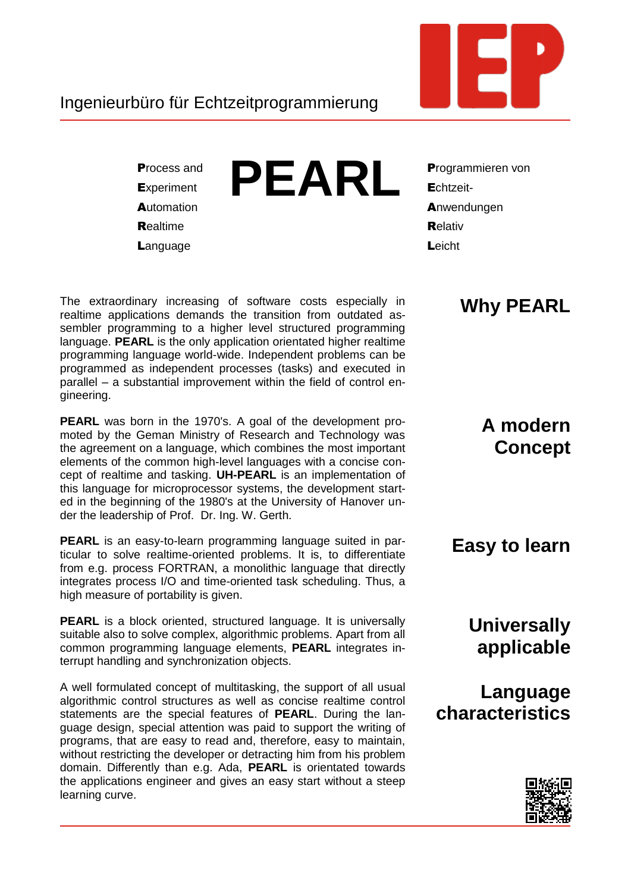

## Ingenieurbüro für Echtzeitprogrammierung

**Process and Experiment** Automation **Realtime** Language



**Programmieren von** Echtzeit-Anwendungen Relativ Leicht

The extraordinary increasing of software costs especially in realtime applications demands the transition from outdated assembler programming to a higher level structured programming language. PEARL is the only application orientated higher realtime programming language world-wide. Independent problems can be programmed as independent processes (tasks) and executed in parallel - a substantial improvement within the field of control engineering.

**PEARL** was born in the 1970's. A goal of the development promoted by the Geman Ministry of Research and Technology was the agreement on a language, which combines the most important elements of the common high-level languages with a concise concept of realtime and tasking. UH-PEARL is an implementation of this language for microprocessor systems, the development started in the beginning of the 1980's at the University of Hanover under the leadership of Prof. Dr. Ing. W. Gerth.

**PEARL** is an easy-to-learn programming language suited in particular to solve realtime-oriented problems. It is, to differentiate from e.g. process FORTRAN, a monolithic language that directly integrates process I/O and time-oriented task scheduling. Thus, a high measure of portability is given.

**PEARL** is a block oriented, structured language. It is universally suitable also to solve complex, algorithmic problems. Apart from all common programming language elements, PEARL integrates interrupt handling and synchronization objects.

A well formulated concept of multitasking, the support of all usual algorithmic control structures as well as concise realtime control statements are the special features of **PEARL**. During the language design, special attention was paid to support the writing of programs, that are easy to read and, therefore, easy to maintain, without restricting the developer or detracting him from his problem domain. Differently than e.g. Ada, PEARL is orientated towards the applications engineer and gives an easy start without a steep learning curve.

# **Why PEARL**

A modern **Concept** 

#### Easy to learn

**Universally** applicable

Language characteristics

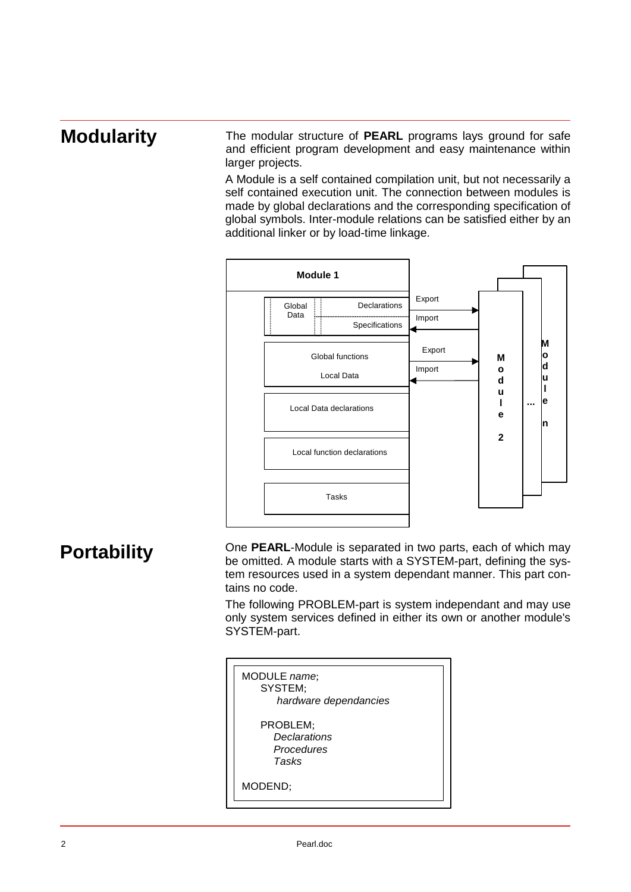## **Modularity**

The modular structure of **PEARL** programs lays ground for safe and efficient program development and easy maintenance within larger projects.

A Module is a self contained compilation unit, but not necessarily a self contained execution unit. The connection between modules is made by global declarations and the corresponding specification of global symbols. Inter-module relations can be satisfied either by an additional linker or by load-time linkage.



### **Portability**

One **PEARL**-Module is separated in two parts, each of which may be omitted. A module starts with a SYSTEM-part, defining the system resources used in a system dependant manner. This part contains no code.

The following PROBLEM-part is system independant and may use only system services defined in either its own or another module's SYSTEM-part.

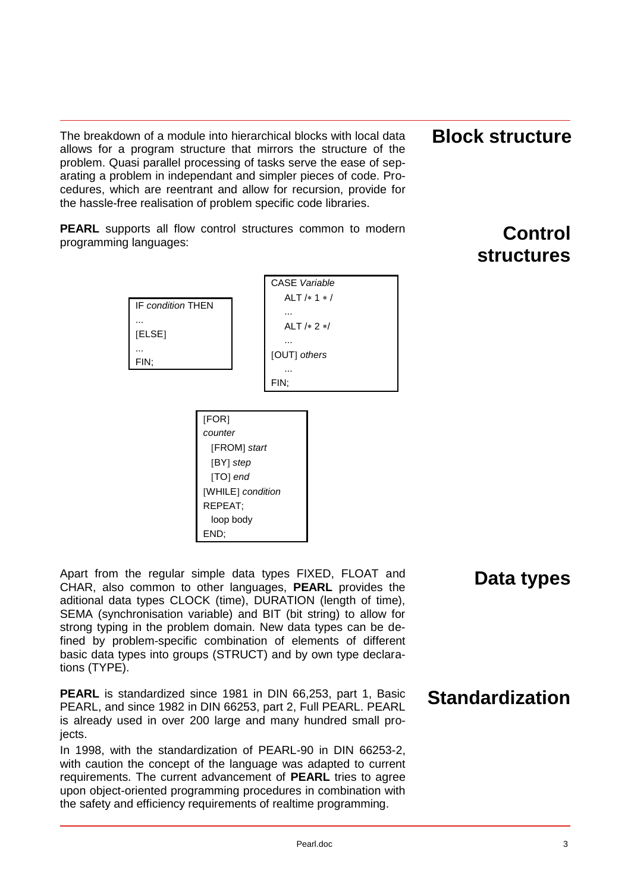The breakdown of a module into hierarchical blocks with local data allows for a program structure that mirrors the structure of the problem. Quasi parallel processing of tasks serve the ease of separating a problem in independant and simpler pieces of code. Procedures, which are reentrant and allow for recursion, provide for the hassle-free realisation of problem specific code libraries.

**PEARL** supports all flow control structures common to modern programming languages:



**Block structure** 

# **Control structures**

Apart from the regular simple data types FIXED, FLOAT and CHAR, also common to other languages, **PEARL** provides the aditional data types CLOCK (time), DURATION (length of time), SEMA (synchronisation variable) and BIT (bit string) to allow for strong typing in the problem domain. New data types can be defined by problem-specific combination of elements of different basic data types into groups (STRUCT) and by own type declarations (TYPE).

REPEAT; loop body

END;

**PEARL** is standardized since 1981 in DIN 66,253, part 1, Basic PEARL, and since 1982 in DIN 66253, part 2, Full PEARL. PEARL is already used in over 200 large and many hundred small projects.

In 1998, with the standardization of PEARL-90 in DIN 66253-2, with caution the concept of the language was adapted to current requirements. The current advancement of **PEARL** tries to agree upon object-oriented programming procedures in combination with the safety and efficiency requirements of realtime programming.

### **Data types**

**Standardization**